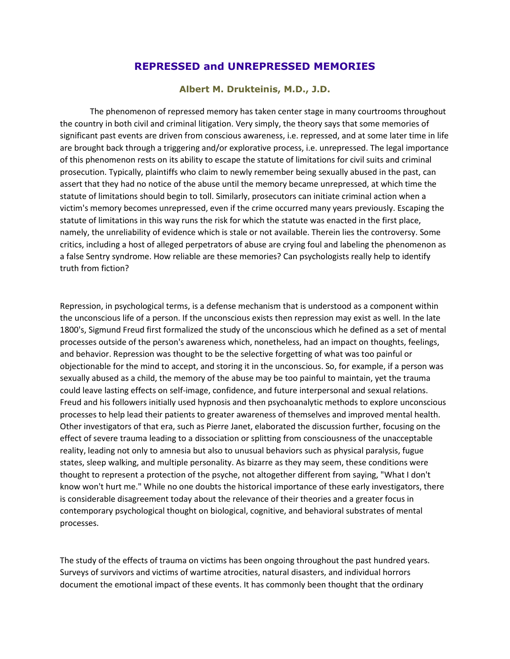## **REPRESSED and UNREPRESSED MEMORIES**

## **Albert M. Drukteinis, M.D., J.D.**

The phenomenon of repressed memory has taken center stage in many courtrooms throughout the country in both civil and criminal litigation. Very simply, the theory says that some memories of significant past events are driven from conscious awareness, i.e. repressed, and at some later time in life are brought back through a triggering and/or explorative process, i.e. unrepressed. The legal importance of this phenomenon rests on its ability to escape the statute of limitations for civil suits and criminal prosecution. Typically, plaintiffs who claim to newly remember being sexually abused in the past, can assert that they had no notice of the abuse until the memory became unrepressed, at which time the statute of limitations should begin to toll. Similarly, prosecutors can initiate criminal action when a victim's memory becomes unrepressed, even if the crime occurred many years previously. Escaping the statute of limitations in this way runs the risk for which the statute was enacted in the first place, namely, the unreliability of evidence which is stale or not available. Therein lies the controversy. Some critics, including a host of alleged perpetrators of abuse are crying foul and labeling the phenomenon as a false Sentry syndrome. How reliable are these memories? Can psychologists really help to identify truth from fiction?

Repression, in psychological terms, is a defense mechanism that is understood as a component within the unconscious life of a person. If the unconscious exists then repression may exist as well. In the late 1800's, Sigmund Freud first formalized the study of the unconscious which he defined as a set of mental processes outside of the person's awareness which, nonetheless, had an impact on thoughts, feelings, and behavior. Repression was thought to be the selective forgetting of what was too painful or objectionable for the mind to accept, and storing it in the unconscious. So, for example, if a person was sexually abused as a child, the memory of the abuse may be too painful to maintain, yet the trauma could leave lasting effects on self-image, confidence, and future interpersonal and sexual relations. Freud and his followers initially used hypnosis and then psychoanalytic methods to explore unconscious processes to help lead their patients to greater awareness of themselves and improved mental health. Other investigators of that era, such as Pierre Janet, elaborated the discussion further, focusing on the effect of severe trauma leading to a dissociation or splitting from consciousness of the unacceptable reality, leading not only to amnesia but also to unusual behaviors such as physical paralysis, fugue states, sleep walking, and multiple personality. As bizarre as they may seem, these conditions were thought to represent a protection of the psyche, not altogether different from saying, "What I don't know won't hurt me." While no one doubts the historical importance of these early investigators, there is considerable disagreement today about the relevance of their theories and a greater focus in contemporary psychological thought on biological, cognitive, and behavioral substrates of mental processes.

The study of the effects of trauma on victims has been ongoing throughout the past hundred years. Surveys of survivors and victims of wartime atrocities, natural disasters, and individual horrors document the emotional impact of these events. It has commonly been thought that the ordinary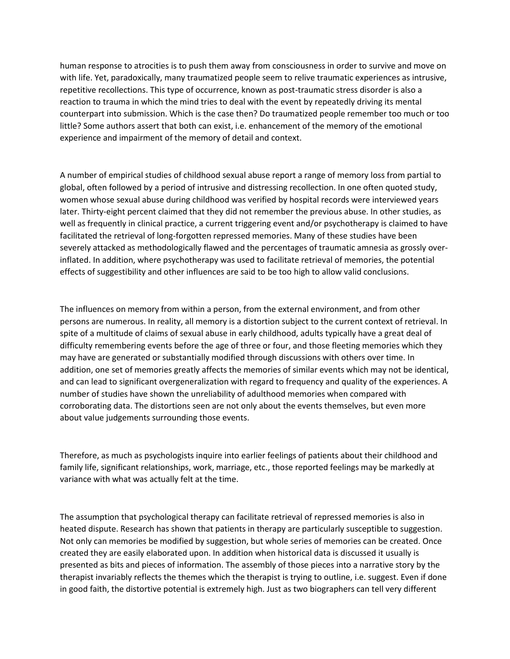human response to atrocities is to push them away from consciousness in order to survive and move on with life. Yet, paradoxically, many traumatized people seem to relive traumatic experiences as intrusive, repetitive recollections. This type of occurrence, known as post-traumatic stress disorder is also a reaction to trauma in which the mind tries to deal with the event by repeatedly driving its mental counterpart into submission. Which is the case then? Do traumatized people remember too much or too little? Some authors assert that both can exist, i.e. enhancement of the memory of the emotional experience and impairment of the memory of detail and context.

A number of empirical studies of childhood sexual abuse report a range of memory loss from partial to global, often followed by a period of intrusive and distressing recollection. In one often quoted study, women whose sexual abuse during childhood was verified by hospital records were interviewed years later. Thirty-eight percent claimed that they did not remember the previous abuse. In other studies, as well as frequently in clinical practice, a current triggering event and/or psychotherapy is claimed to have facilitated the retrieval of long-forgotten repressed memories. Many of these studies have been severely attacked as methodologically flawed and the percentages of traumatic amnesia as grossly overinflated. In addition, where psychotherapy was used to facilitate retrieval of memories, the potential effects of suggestibility and other influences are said to be too high to allow valid conclusions.

The influences on memory from within a person, from the external environment, and from other persons are numerous. In reality, all memory is a distortion subject to the current context of retrieval. In spite of a multitude of claims of sexual abuse in early childhood, adults typically have a great deal of difficulty remembering events before the age of three or four, and those fleeting memories which they may have are generated or substantially modified through discussions with others over time. In addition, one set of memories greatly affects the memories of similar events which may not be identical, and can lead to significant overgeneralization with regard to frequency and quality of the experiences. A number of studies have shown the unreliability of adulthood memories when compared with corroborating data. The distortions seen are not only about the events themselves, but even more about value judgements surrounding those events.

Therefore, as much as psychologists inquire into earlier feelings of patients about their childhood and family life, significant relationships, work, marriage, etc., those reported feelings may be markedly at variance with what was actually felt at the time.

The assumption that psychological therapy can facilitate retrieval of repressed memories is also in heated dispute. Research has shown that patients in therapy are particularly susceptible to suggestion. Not only can memories be modified by suggestion, but whole series of memories can be created. Once created they are easily elaborated upon. In addition when historical data is discussed it usually is presented as bits and pieces of information. The assembly of those pieces into a narrative story by the therapist invariably reflects the themes which the therapist is trying to outline, i.e. suggest. Even if done in good faith, the distortive potential is extremely high. Just as two biographers can tell very different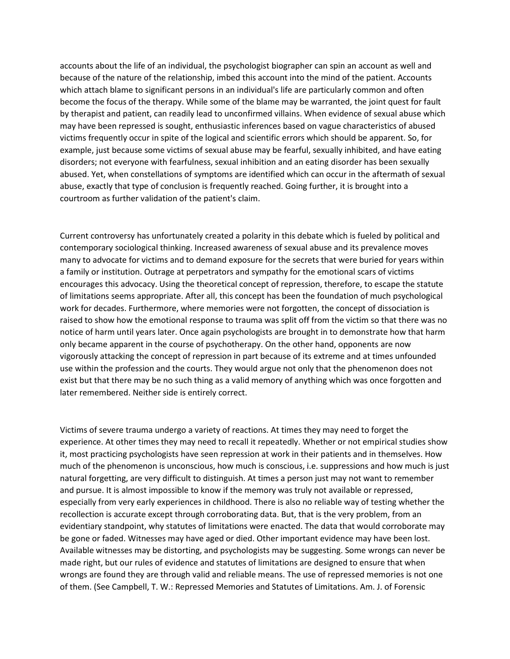accounts about the life of an individual, the psychologist biographer can spin an account as well and because of the nature of the relationship, imbed this account into the mind of the patient. Accounts which attach blame to significant persons in an individual's life are particularly common and often become the focus of the therapy. While some of the blame may be warranted, the joint quest for fault by therapist and patient, can readily lead to unconfirmed villains. When evidence of sexual abuse which may have been repressed is sought, enthusiastic inferences based on vague characteristics of abused victims frequently occur in spite of the logical and scientific errors which should be apparent. So, for example, just because some victims of sexual abuse may be fearful, sexually inhibited, and have eating disorders; not everyone with fearfulness, sexual inhibition and an eating disorder has been sexually abused. Yet, when constellations of symptoms are identified which can occur in the aftermath of sexual abuse, exactly that type of conclusion is frequently reached. Going further, it is brought into a courtroom as further validation of the patient's claim.

Current controversy has unfortunately created a polarity in this debate which is fueled by political and contemporary sociological thinking. Increased awareness of sexual abuse and its prevalence moves many to advocate for victims and to demand exposure for the secrets that were buried for years within a family or institution. Outrage at perpetrators and sympathy for the emotional scars of victims encourages this advocacy. Using the theoretical concept of repression, therefore, to escape the statute of limitations seems appropriate. After all, this concept has been the foundation of much psychological work for decades. Furthermore, where memories were not forgotten, the concept of dissociation is raised to show how the emotional response to trauma was split off from the victim so that there was no notice of harm until years later. Once again psychologists are brought in to demonstrate how that harm only became apparent in the course of psychotherapy. On the other hand, opponents are now vigorously attacking the concept of repression in part because of its extreme and at times unfounded use within the profession and the courts. They would argue not only that the phenomenon does not exist but that there may be no such thing as a valid memory of anything which was once forgotten and later remembered. Neither side is entirely correct.

Victims of severe trauma undergo a variety of reactions. At times they may need to forget the experience. At other times they may need to recall it repeatedly. Whether or not empirical studies show it, most practicing psychologists have seen repression at work in their patients and in themselves. How much of the phenomenon is unconscious, how much is conscious, i.e. suppressions and how much is just natural forgetting, are very difficult to distinguish. At times a person just may not want to remember and pursue. It is almost impossible to know if the memory was truly not available or repressed, especially from very early experiences in childhood. There is also no reliable way of testing whether the recollection is accurate except through corroborating data. But, that is the very problem, from an evidentiary standpoint, why statutes of limitations were enacted. The data that would corroborate may be gone or faded. Witnesses may have aged or died. Other important evidence may have been lost. Available witnesses may be distorting, and psychologists may be suggesting. Some wrongs can never be made right, but our rules of evidence and statutes of limitations are designed to ensure that when wrongs are found they are through valid and reliable means. The use of repressed memories is not one of them. (See Campbell, T. W.: Repressed Memories and Statutes of Limitations. Am. J. of Forensic